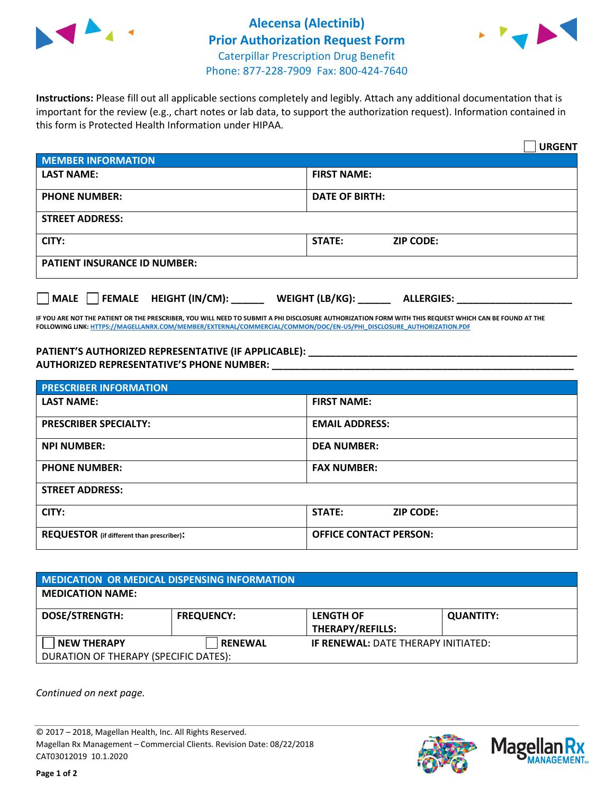



**Instructions:** Please fill out all applicable sections completely and legibly. Attach any additional documentation that is important for the review (e.g., chart notes or lab data, to support the authorization request). Information contained in this form is Protected Health Information under HIPAA.

|                                                | <b>URGENT</b>                        |  |  |  |
|------------------------------------------------|--------------------------------------|--|--|--|
| <b>MEMBER INFORMATION</b>                      |                                      |  |  |  |
| <b>LAST NAME:</b>                              | <b>FIRST NAME:</b>                   |  |  |  |
| <b>PHONE NUMBER:</b>                           | <b>DATE OF BIRTH:</b>                |  |  |  |
| <b>STREET ADDRESS:</b>                         |                                      |  |  |  |
| CITY:                                          | <b>STATE:</b><br><b>ZIP CODE:</b>    |  |  |  |
| <b>PATIENT INSURANCE ID NUMBER:</b>            |                                      |  |  |  |
| $\Box$ FEMALE HEIGHT (IN/CM): _<br><b>MALE</b> | WEIGHT (LB/KG):<br><b>ALLERGIES:</b> |  |  |  |

**IF YOU ARE NOT THE PATIENT OR THE PRESCRIBER, YOU WILL NEED TO SUBMIT A PHI DISCLOSURE AUTHORIZATION FORM WITH THIS REQUEST WHICH CAN BE FOUND AT THE FOLLOWING LINK[: HTTPS://MAGELLANRX.COM/MEMBER/EXTERNAL/COMMERCIAL/COMMON/DOC/EN-US/PHI\\_DISCLOSURE\\_AUTHORIZATION.PDF](https://magellanrx.com/member/external/commercial/common/doc/en-us/PHI_Disclosure_Authorization.pdf)**

**PATIENT'S AUTHORIZED REPRESENTATIVE (IF APPLICABLE): \_\_\_\_\_\_\_\_\_\_\_\_\_\_\_\_\_\_\_\_\_\_\_\_\_\_\_\_\_\_\_\_\_\_\_\_\_\_\_\_\_\_\_\_\_\_\_\_\_ AUTHORIZED REPRESENTATIVE'S PHONE NUMBER: \_\_\_\_\_\_\_\_\_\_\_\_\_\_\_\_\_\_\_\_\_\_\_\_\_\_\_\_\_\_\_\_\_\_\_\_\_\_\_\_\_\_\_\_\_\_\_\_\_\_\_\_\_\_\_**

| <b>PRESCRIBER INFORMATION</b>             |                               |  |  |  |
|-------------------------------------------|-------------------------------|--|--|--|
| <b>LAST NAME:</b>                         | <b>FIRST NAME:</b>            |  |  |  |
| <b>PRESCRIBER SPECIALTY:</b>              | <b>EMAIL ADDRESS:</b>         |  |  |  |
| <b>NPI NUMBER:</b>                        | <b>DEA NUMBER:</b>            |  |  |  |
| <b>PHONE NUMBER:</b>                      | <b>FAX NUMBER:</b>            |  |  |  |
| <b>STREET ADDRESS:</b>                    |                               |  |  |  |
| CITY:                                     | STATE:<br><b>ZIP CODE:</b>    |  |  |  |
| REQUESTOR (if different than prescriber): | <b>OFFICE CONTACT PERSON:</b> |  |  |  |

| <b>MEDICATION OR MEDICAL DISPENSING INFORMATION</b> |                   |                                            |                  |  |  |
|-----------------------------------------------------|-------------------|--------------------------------------------|------------------|--|--|
| <b>MEDICATION NAME:</b>                             |                   |                                            |                  |  |  |
| <b>DOSE/STRENGTH:</b>                               | <b>FREQUENCY:</b> | <b>LENGTH OF</b>                           | <b>QUANTITY:</b> |  |  |
|                                                     |                   | <b>THERAPY/REFILLS:</b>                    |                  |  |  |
| <b>NEW THERAPY</b>                                  | <b>RENEWAL</b>    | <b>IF RENEWAL: DATE THERAPY INITIATED:</b> |                  |  |  |
| DURATION OF THERAPY (SPECIFIC DATES):               |                   |                                            |                  |  |  |

*Continued on next page.*

© 2017 – 2018, Magellan Health, Inc. All Rights Reserved. Magellan Rx Management – Commercial Clients. Revision Date: 08/22/2018 CAT03012019 10.1.2020